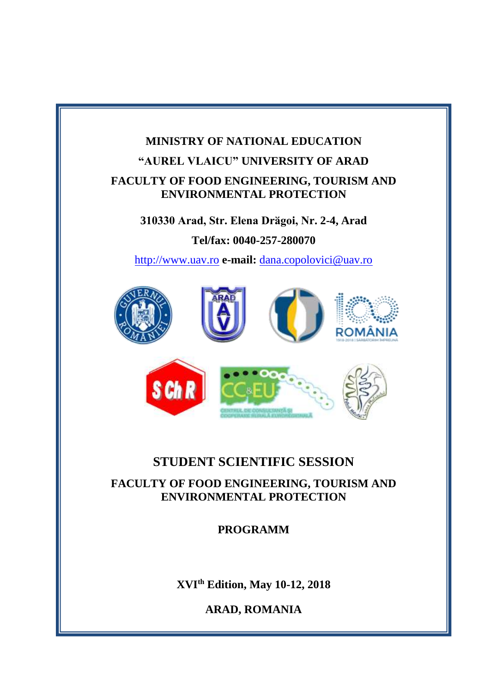# **MINISTRY OF NATIONAL EDUCATION "AUREL VLAICU" UNIVERSITY OF ARAD FACULTY OF FOOD ENGINEERING, TOURISM AND ENVIRONMENTAL PROTECTION**

**310330 Arad, Str. Elena Drӑgoi, Nr. 2-4, Arad Tel/fax: 0040-257-280070**

[http://www.uav.ro](http://www.uav.ro/) **e-mail:** [dana.copolovici@uav.ro](mailto:dana.copolovici@uav.ro)



# **STUDENT SCIENTIFIC SESSION**

**JANTA SI** 

**FACULTY OF FOOD ENGINEERING, TOURISM AND ENVIRONMENTAL PROTECTION**

**PROGRAMM**

**XVI th Edition, May 10-12, 2018**

**ARAD, ROMANIA**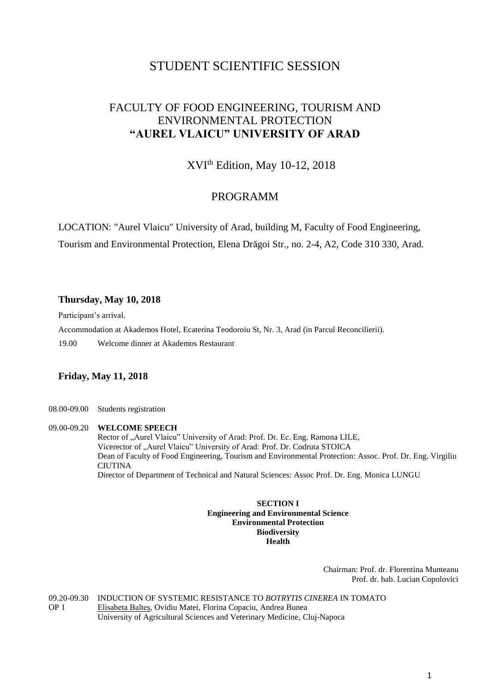# STUDENT SCIENTIFIC SESSION

# FACULTY OF FOOD ENGINEERING, TOURISM AND ENVIRONMENTAL PROTECTION **"AUREL VLAICU" UNIVERSITY OF ARAD**

XVIth Edition, May 10-12, 2018

## PROGRAMM

LOCATION: "Aurel Vlaicu" University of Arad, building M, Faculty of Food Engineering,

Tourism and Environmental Protection, Elena Drăgoi Str., no. 2-4, A2, Code 310 330, Arad.

#### **Thursday, May 10, 2018**

Participant's arrival.

Accommodation at Akademos Hotel, Ecaterina Teodoroiu St, Nr. 3, Arad (in Parcul Reconcilierii).

19.00 Welcome dinner at Akademos Restaurant

### **Friday, May 11, 2018**

08.00-09.00 Students registration

### 09.00-09.20 **WELCOME SPEECH**  Rector of "Aurel Vlaicu" University of Arad: Prof. Dr. Ec. Eng. Ramona LILE, Vicerector of "Aurel Vlaicu" University of Arad: Prof. Dr. Codruta STOICA Dean of Faculty of Food Engineering, Tourism and Environmental Protection: Assoc. Prof. Dr. Eng. Virgiliu **CIUTINA** Director of Department of Technical and Natural Sciences: Assoc Prof. Dr. Eng. Monica LUNGU

#### **SECTION I Engineering and Environmental Science Environmental Protection Biodiversity Health**

Chairman: Prof. dr. Florentina Munteanu Prof. dr. hab. Lucian Copolovici

09.20-09.30 OP 1 INDUCTION OF SYSTEMIC RESISTANCE TO *BOTRYTIS CINEREA* IN TOMATO Elisabeta Balteș, Ovidiu Matei, Florina Copaciu, Andrea Bunea University of Agricultural Sciences and Veterinary Medicine, Cluj-Napoca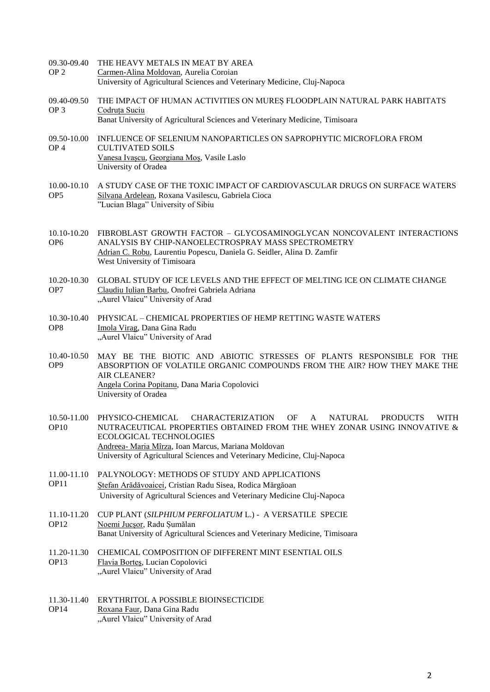- 09.30-09.40  $OP<sub>2</sub>$ THE HEAVY METALS IN MEAT BY AREA Carmen-Alina Moldovan, Aurelia Coroian University of Agricultural Sciences and Veterinary Medicine, Cluj-Napoca
- 09.40-09.50 OP 3 THE IMPACT OF HUMAN ACTIVITIES ON MUREȘ FLOODPLAIN NATURAL PARK HABITATS Codruța Suciu
	- Banat University of Agricultural Sciences and Veterinary Medicine, Timisoara
- 09.50-10.00 INFLUENCE OF SELENIUM NANOPARTICLES ON SAPROPHYTIC MICROFLORA FROM OP 4 CULTIVATED SOILS Vanesa Ivașcu, Georgiana Moș, Vasile Laslo University of Oradea
- 10.00-10.10 OP5 A STUDY CASE OF THE TOXIC IMPACT OF CARDIOVASCULAR DRUGS ON SURFACE WATERS Silvana Ardelean, Roxana Vasilescu, Gabriela Cioca "Lucian Blaga" University of Sibiu
- 10.10-10.20 FIBROBLAST GROWTH FACTOR GLYCOSAMINOGLYCAN NONCOVALENT INTERACTIONS OP6 ANALYSIS BY CHIP-NANOELECTROSPRAY MASS SPECTROMETRY Adrian C. Robu, Laurentiu Popescu, Daniela G. Seidler, Alina D. Zamfir West University of Timisoara
- 10.20-10.30 OP7 GLOBAL STUDY OF ICE LEVELS AND THE EFFECT OF MELTING ICE ON CLIMATE CHANGE Claudiu Iulian Barbu, Onofrei Gabriela Adriana "Aurel Vlaicu" University of Arad
- 10.30-10.40 PHYSICAL CHEMICAL PROPERTIES OF HEMP RETTING WASTE WATERS OP8 Imola Virag, Dana Gina Radu "Aurel Vlaicu" University of Arad
- 10.40-10.50 OP9 MAY BE THE BIOTIC AND ABIOTIC STRESSES OF PLANTS RESPONSIBLE FOR THE ABSORPTION OF VOLATILE ORGANIC COMPOUNDS FROM THE AIR? HOW THEY MAKE THE AIR CLEANER? Angela Corina Popitanu, Dana Maria Copolovici University of Oradea
- 10.50-11.00 PHYSICO-CHEMICAL OP10 CHARACTERIZATION OF A NATURAL PRODUCTS WITH NUTRACEUTICAL PROPERTIES OBTAINED FROM THE WHEY ZONAR USING INNOVATIVE & ECOLOGICAL TECHNOLOGIES Andreea- Maria Mîrza, Ioan Marcus, Mariana Moldovan University of Agricultural Sciences and Veterinary Medicine, Cluj-Napoca
- 11.00-11.10 OP11 PALYNOLOGY: METHODS OF STUDY AND APPLICATIONS Ștefan Arădăvoaicei, Cristian Radu Sisea, Rodica Mărgăoan University of Agricultural Sciences and Veterinary Medicine Cluj-Napoca
- 11.10-11.20 OP12 CUP PLANT (*SILPHIUM PERFOLIATUM* L.) - A VERSATILE SPECIE Noemi Jucșor, Radu Șumălan Banat University of Agricultural Sciences and Veterinary Medicine, Timisoara
- 11.20-11.30 OP13 CHEMICAL COMPOSITION OF DIFFERENT MINT ESENTIAL OILS Flavia Borteş, Lucian Copolovici "Aurel Vlaicu" University of Arad
- 11.30-11.40 ERYTHRITOL A POSSIBLE BIOINSECTICIDE OP14 Roxana Faur, Dana Gina Radu "Aurel Vlaicu" University of Arad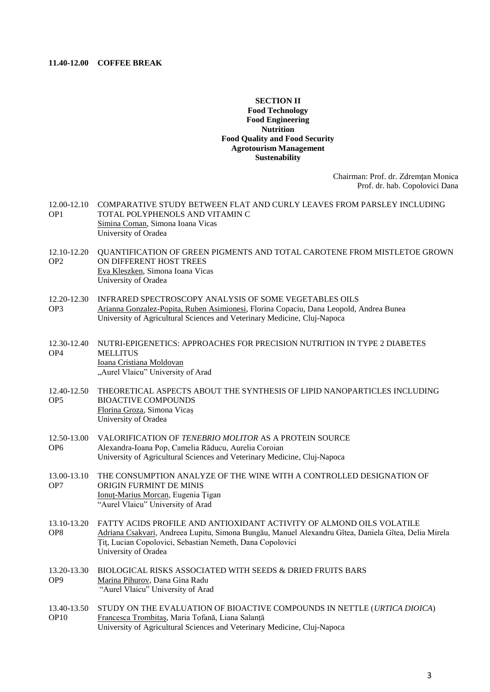#### **11.40-12.00 COFFEE BREAK**

#### **SECTION II Food Technology Food Engineering Nutrition Food Quality and Food Security Agrotourism Management Sustenability**

Chairman: Prof. dr. Zdremţan Monica Prof. dr. hab. Copolovici Dana

- 12.00-12.10 OP1 COMPARATIVE STUDY BETWEEN FLAT AND CURLY LEAVES FROM PARSLEY INCLUDING TOTAL POLYPHENOLS AND VITAMIN C Simina Coman, Simona Ioana Vicas University of Oradea
- 12.10-12.20 OP2 QUANTIFICATION OF GREEN PIGMENTS AND TOTAL CAROTENE FROM MISTLETOE GROWN ON DIFFERENT HOST TREES Eva Kleszken, Simona Ioana Vicas University of Oradea
- 12.20-12.30 INFRARED SPECTROSCOPY ANALYSIS OF SOME VEGETABLES OILS OP3 Arianna Gonzalez-Popita, Ruben Asimionesi, Florina Copaciu, Dana Leopold, Andrea Bunea University of Agricultural Sciences and Veterinary Medicine, Cluj-Napoca
- 12.30-12.40 OP4 NUTRI-EPIGENETICS: APPROACHES FOR PRECISION NUTRITION IN TYPE 2 DIABETES **MELLITUS** Ioana Cristiana Moldovan "Aurel Vlaicu" University of Arad
- 12.40-12.50 THEORETICAL ASPECTS ABOUT THE SYNTHESIS OF LIPID NANOPARTICLES INCLUDING OP5 BIOACTIVE COMPOUNDS Florina Groza, Simona Vicaș University of Oradea
- 12.50-13.00 OP6 VALORIFICATION OF *TENEBRIO MOLITOR* AS A PROTEIN SOURCE Alexandra-Ioana Pop, Camelia Răducu, Aurelia Coroian University of Agricultural Sciences and Veterinary Medicine, Cluj-Napoca
- 13.00-13.10 OP7 THE CONSUMPTION ANALYZE OF THE WINE WITH A CONTROLLED DESIGNATION OF ORIGIN FURMINT DE MINIS Ionuț-Marius Morcan, Eugenia Țigan "Aurel Vlaicu" University of Arad
- 13.10-13.20 FATTY ACIDS PROFILE AND ANTIOXIDANT ACTIVITY OF ALMOND OILS VOLATILE OP8 Adriana Csakvari, Andreea Lupitu, Simona Bungău, Manuel Alexandru Gîtea, Daniela Gîtea, Delia Mirela Țiţ, Lucian Copolovici, Sebastian Nemeth, Dana Copolovici University of Oradea
- 13.20-13.30 OP9 BIOLOGICAL RISKS ASSOCIATED WITH SEEDS & DRIED FRUITS BARS Marina Pihurov, Dana Gina Radu "Aurel Vlaicu" University of Arad
- 13.40-13.50 OP10 STUDY ON THE EVALUATION OF BIOACTIVE COMPOUNDS IN NETTLE (*URTICA DIOICA*) Francesca Trombitaș, Maria Tofană, Liana Salanță University of Agricultural Sciences and Veterinary Medicine, Cluj-Napoca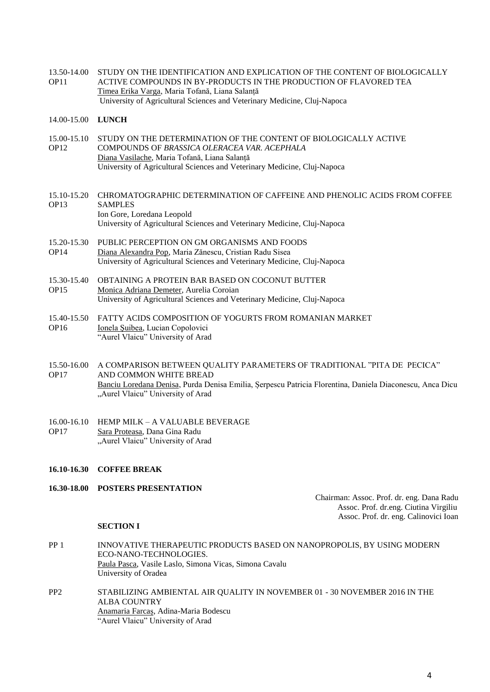13.50-14.00 OP11 STUDY ON THE IDENTIFICATION AND EXPLICATION OF THE CONTENT OF BIOLOGICALLY ACTIVE COMPOUNDS IN BY-PRODUCTS IN THE PRODUCTION OF FLAVORED TEA Timea Erika Varga, Maria Tofană, Liana Salanță University of Agricultural Sciences and Veterinary Medicine, Cluj-Napoca

#### 14.00-15.00 **LUNCH**

- 15.00-15.10 STUDY ON THE DETERMINATION OF THE CONTENT OF BIOLOGICALLY ACTIVE OP12 COMPOUNDS OF *BRASSICA OLERACEA VAR. ACEPHALA* Diana Vasilache, Maria Tofană, Liana Salanță University of Agricultural Sciences and Veterinary Medicine, Cluj-Napoca
- 15.10-15.20 CHROMATOGRAPHIC DETERMINATION OF CAFFEINE AND PHENOLIC ACIDS FROM COFFEE OP13 SAMPLES Ion Gore, Loredana Leopold University of Agricultural Sciences and Veterinary Medicine, Cluj-Napoca
- 15.20-15.30 OP14 PUBLIC PERCEPTION ON GM ORGANISMS AND FOODS Diana Alexandra Pop, Maria Zănescu, Cristian Radu Sisea University of Agricultural Sciences and Veterinary Medicine, Cluj-Napoca
- 15.30-15.40 OP15 OBTAINING A PROTEIN BAR BASED ON COCONUT BUTTER Monica Adriana Demeter, Aurelia Coroian University of Agricultural Sciences and Veterinary Medicine, Cluj-Napoca
- 15.40-15.50 FATTY ACIDS COMPOSITION OF YOGURTS FROM ROMANIAN MARKET OP16 Ionela Şuibea, Lucian Copolovici "Aurel Vlaicu" University of Arad
- 15.50-16.00 A COMPARISON BETWEEN QUALITY PARAMETERS OF TRADITIONAL "PITA DE PECICA" OP17 AND COMMON WHITE BREAD Banciu Loredana Denisa, Purda Denisa Emilia, Șerpescu Patricia Florentina, Daniela Diaconescu, Anca Dicu "Aurel Vlaicu" University of Arad

#### 16.00-16.10 HEMP MILK – A VALUABLE BEVERAGE OP17 Sara Proteasa, Dana Gina Radu "Aurel Vlaicu" University of Arad

- **16.10-16.30 COFFEE BREAK**
- **16.30-18.00 POSTERS PRESENTATION**

Chairman: Assoc. Prof. dr. eng. Dana Radu Assoc. Prof. dr.eng. Ciutina Virgiliu Assoc. Prof. dr. eng. Calinovici Ioan

#### **SECTION I**

- PP 1 INNOVATIVE THERAPEUTIC PRODUCTS BASED ON NANOPROPOLIS, BY USING MODERN ECO-NANO-TECHNOLOGIES. Paula Pasca, Vasile Laslo, Simona Vicas, Simona Cavalu University of Oradea
- PP2 STABILIZING AMBIENTAL AIR QUALITY IN NOVEMBER 01 30 NOVEMBER 2016 IN THE ALBA COUNTRY Anamaria Farcaș, Adina-Maria Bodescu "Aurel Vlaicu" University of Arad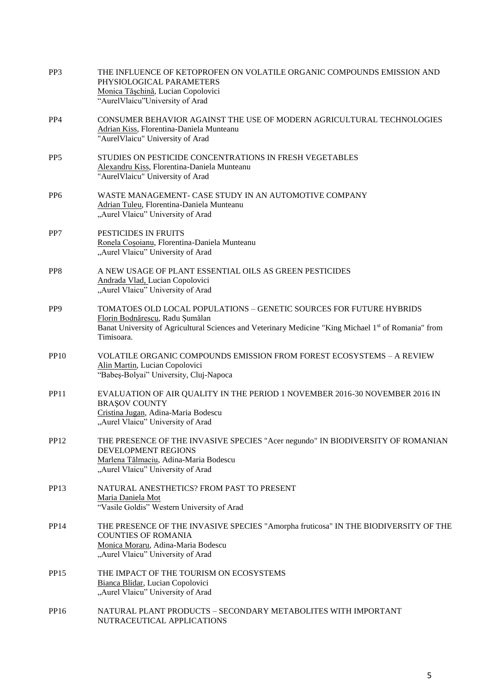| PP <sub>3</sub>  | THE INFLUENCE OF KETOPROFEN ON VOLATILE ORGANIC COMPOUNDS EMISSION AND<br>PHYSIOLOGICAL PARAMETERS<br>Monica Tășchină, Lucian Copolovici<br>"AurelVlaicu"University of Arad                                                  |
|------------------|------------------------------------------------------------------------------------------------------------------------------------------------------------------------------------------------------------------------------|
| PP <sub>4</sub>  | CONSUMER BEHAVIOR AGAINST THE USE OF MODERN AGRICULTURAL TECHNOLOGIES<br>Adrian Kiss, Florentina-Daniela Munteanu<br>"AurelVlaicu" University of Arad                                                                        |
| P <sub>P5</sub>  | STUDIES ON PESTICIDE CONCENTRATIONS IN FRESH VEGETABLES<br>Alexandru Kiss, Florentina-Daniela Munteanu<br>"AurelVlaicu" University of Arad                                                                                   |
| PP <sub>6</sub>  | WASTE MANAGEMENT- CASE STUDY IN AN AUTOMOTIVE COMPANY<br>Adrian Tuleu, Florentina-Daniela Munteanu<br>"Aurel Vlaicu" University of Arad                                                                                      |
| PP7              | PESTICIDES IN FRUITS<br>Ronela Coșoianu, Florentina-Daniela Munteanu<br>"Aurel Vlaicu" University of Arad                                                                                                                    |
| P <sub>P8</sub>  | A NEW USAGE OF PLANT ESSENTIAL OILS AS GREEN PESTICIDES<br>Andrada Vlad, Lucian Copolovici<br>"Aurel Vlaicu" University of Arad                                                                                              |
| PP <sub>9</sub>  | TOMATOES OLD LOCAL POPULATIONS - GENETIC SOURCES FOR FUTURE HYBRIDS<br>Florin Bodnărescu, Radu Şumălan<br>Banat University of Agricultural Sciences and Veterinary Medicine "King Michael 1st of Romania" from<br>Timisoara. |
| <b>PP10</b>      | VOLATILE ORGANIC COMPOUNDS EMISSION FROM FOREST ECOSYSTEMS - A REVIEW<br>Alin Martin, Lucian Copolovici<br>"Babeș-Bolyai" University, Cluj-Napoca                                                                            |
| <b>PP11</b>      | EVALUATION OF AIR QUALITY IN THE PERIOD 1 NOVEMBER 2016-30 NOVEMBER 2016 IN<br><b>BRAŞOV COUNTY</b><br>Cristina Jugan, Adina-Maria Bodescu<br>"Aurel Vlaicu" University of Arad                                              |
| PP12             | THE PRESENCE OF THE INVASIVE SPECIES "Acer negundo" IN BIODIVERSITY OF ROMANIAN<br>DEVELOPMENT REGIONS<br>Marlena Tălmaciu, Adina-Maria Bodescu<br>"Aurel Vlaicu" University of Arad                                         |
| PP <sub>13</sub> | NATURAL ANESTHETICS? FROM PAST TO PRESENT<br>Maria Daniela Mot<br>"Vasile Goldis" Western University of Arad                                                                                                                 |
| PP14             | THE PRESENCE OF THE INVASIVE SPECIES "Amorpha fruticosa" IN THE BIODIVERSITY OF THE<br><b>COUNTIES OF ROMANIA</b><br>Monica Moraru, Adina-Maria Bodescu<br>"Aurel Vlaicu" University of Arad                                 |
| <b>PP15</b>      | THE IMPACT OF THE TOURISM ON ECOSYSTEMS<br>Bianca Blidar, Lucian Copolovici<br>"Aurel Vlaicu" University of Arad                                                                                                             |
| <b>PP16</b>      | NATURAL PLANT PRODUCTS - SECONDARY METABOLITES WITH IMPORTANT<br>NUTRACEUTICAL APPLICATIONS                                                                                                                                  |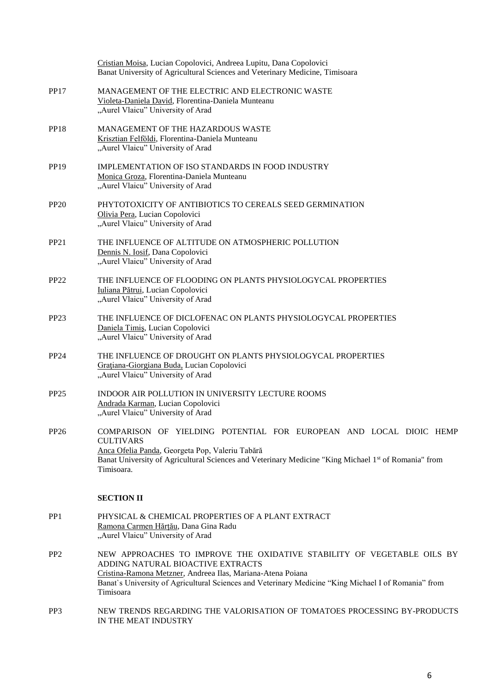|                  | Cristian Moisa, Lucian Copolovici, Andreea Lupitu, Dana Copolovici<br>Banat University of Agricultural Sciences and Veterinary Medicine, Timisoara                                                                                                                                              |
|------------------|-------------------------------------------------------------------------------------------------------------------------------------------------------------------------------------------------------------------------------------------------------------------------------------------------|
| <b>PP17</b>      | MANAGEMENT OF THE ELECTRIC AND ELECTRONIC WASTE<br>Violeta-Daniela David, Florentina-Daniela Munteanu<br>"Aurel Vlaicu" University of Arad                                                                                                                                                      |
| <b>PP18</b>      | <b>MANAGEMENT OF THE HAZARDOUS WASTE</b><br>Krisztian Felföldi, Florentina-Daniela Munteanu<br>"Aurel Vlaicu" University of Arad                                                                                                                                                                |
| <b>PP19</b>      | IMPLEMENTATION OF ISO STANDARDS IN FOOD INDUSTRY<br>Monica Groza, Florentina-Daniela Munteanu<br>"Aurel Vlaicu" University of Arad                                                                                                                                                              |
| <b>PP20</b>      | PHYTOTOXICITY OF ANTIBIOTICS TO CEREALS SEED GERMINATION<br>Olivia Pera, Lucian Copolovici<br>"Aurel Vlaicu" University of Arad                                                                                                                                                                 |
| <b>PP21</b>      | THE INFLUENCE OF ALTITUDE ON ATMOSPHERIC POLLUTION<br>Dennis N. Iosif, Dana Copolovici<br>"Aurel Vlaicu" University of Arad                                                                                                                                                                     |
| <b>PP22</b>      | THE INFLUENCE OF FLOODING ON PLANTS PHYSIOLOGYCAL PROPERTIES<br>Iuliana Pătrui, Lucian Copolovici<br>"Aurel Vlaicu" University of Arad                                                                                                                                                          |
| PP <sub>23</sub> | THE INFLUENCE OF DICLOFENAC ON PLANTS PHYSIOLOGYCAL PROPERTIES<br>Daniela Timiş, Lucian Copolovici<br>"Aurel Vlaicu" University of Arad                                                                                                                                                         |
| PP24             | THE INFLUENCE OF DROUGHT ON PLANTS PHYSIOLOGYCAL PROPERTIES<br>Gratiana-Giorgiana Buda, Lucian Copolovici<br>"Aurel Vlaicu" University of Arad                                                                                                                                                  |
| <b>PP25</b>      | <b>INDOOR AIR POLLUTION IN UNIVERSITY LECTURE ROOMS</b><br>Andrada Karman, Lucian Copolovici<br>"Aurel Vlaicu" University of Arad                                                                                                                                                               |
| PP26             | COMPARISON OF YIELDING POTENTIAL FOR EUROPEAN AND LOCAL DIOIC HEMP<br><b>CULTIVARS</b><br>Anca Ofelia Panda, Georgeta Pop, Valeriu Tabără<br>Banat University of Agricultural Sciences and Veterinary Medicine "King Michael 1st of Romania" from<br>Timisoara.                                 |
|                  | <b>SECTION II</b>                                                                                                                                                                                                                                                                               |
| PP1              | PHYSICAL & CHEMICAL PROPERTIES OF A PLANT EXTRACT<br>Ramona Carmen Hărțău, Dana Gina Radu<br>"Aurel Vlaicu" University of Arad                                                                                                                                                                  |
| PP <sub>2</sub>  | NEW APPROACHES TO IMPROVE THE OXIDATIVE STABILITY OF VEGETABLE OILS BY<br>ADDING NATURAL BIOACTIVE EXTRACTS<br>Cristina-Ramona Metzner, Andreea Ilas, Mariana-Atena Poiana<br>Banat's University of Agricultural Sciences and Veterinary Medicine "King Michael I of Romania" from<br>Timisoara |
| PP <sub>3</sub>  | NEW TRENDS REGARDING THE VALORISATION OF TOMATOES PROCESSING BY-PRODUCTS<br>IN THE MEAT INDUSTRY                                                                                                                                                                                                |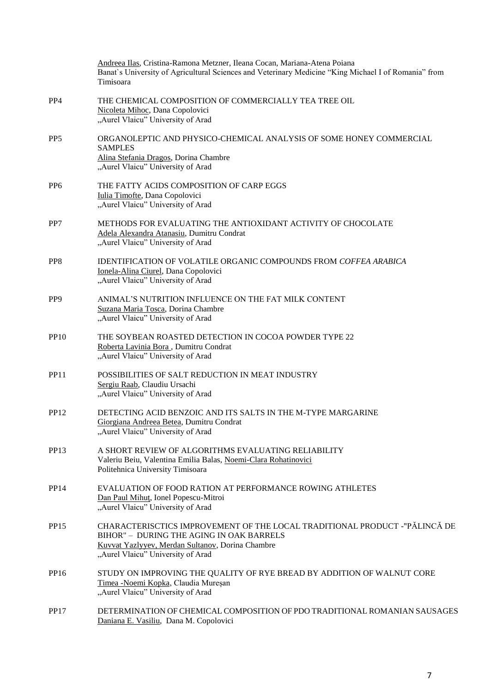|                 | Andreea Ilas, Cristina-Ramona Metzner, Ileana Cocan, Mariana-Atena Poiana<br>Banat's University of Agricultural Sciences and Veterinary Medicine "King Michael I of Romania" from<br>Timisoara                  |
|-----------------|-----------------------------------------------------------------------------------------------------------------------------------------------------------------------------------------------------------------|
| PP <sub>4</sub> | THE CHEMICAL COMPOSITION OF COMMERCIALLY TEA TREE OIL<br>Nicoleta Mihoc, Dana Copolovici<br>"Aurel Vlaicu" University of Arad                                                                                   |
| P <sub>P5</sub> | ORGANOLEPTIC AND PHYSICO-CHEMICAL ANALYSIS OF SOME HONEY COMMERCIAL<br><b>SAMPLES</b><br>Alina Stefania Dragos, Dorina Chambre<br>"Aurel Vlaicu" University of Arad                                             |
| P <sub>P6</sub> | THE FATTY ACIDS COMPOSITION OF CARP EGGS<br>Iulia Timofte, Dana Copolovici<br>"Aurel Vlaicu" University of Arad                                                                                                 |
| PP7             | METHODS FOR EVALUATING THE ANTIOXIDANT ACTIVITY OF CHOCOLATE<br>Adela Alexandra Atanasiu, Dumitru Condrat<br>"Aurel Vlaicu" University of Arad                                                                  |
| P <sub>P8</sub> | <b>IDENTIFICATION OF VOLATILE ORGANIC COMPOUNDS FROM COFFEA ARABICA</b><br>Ionela-Alina Ciurel, Dana Copolovici<br>"Aurel Vlaicu" University of Arad                                                            |
| P <sub>P9</sub> | ANIMAL'S NUTRITION INFLUENCE ON THE FAT MILK CONTENT<br>Suzana Maria Tosca, Dorina Chambre<br>"Aurel Vlaicu" University of Arad                                                                                 |
| <b>PP10</b>     | THE SOYBEAN ROASTED DETECTION IN COCOA POWDER TYPE 22<br>Roberta Lavinia Bora, Dumitru Condrat<br>"Aurel Vlaicu" University of Arad                                                                             |
| <b>PP11</b>     | POSSIBILITIES OF SALT REDUCTION IN MEAT INDUSTRY<br>Sergiu Raab, Claudiu Ursachi<br>"Aurel Vlaicu" University of Arad                                                                                           |
| <b>PP12</b>     | DETECTING ACID BENZOIC AND ITS SALTS IN THE M-TYPE MARGARINE<br>Giorgiana Andreea Betea, Dumitru Condrat<br>"Aurel Vlaicu" University of Arad                                                                   |
| <b>PP13</b>     | A SHORT REVIEW OF ALGORITHMS EVALUATING RELIABILITY<br>Valeriu Beiu, Valentina Emilia Balas, Noemi-Clara Rohatinovici<br>Politehnica University Timisoara                                                       |
| <b>PP14</b>     | EVALUATION OF FOOD RATION AT PERFORMANCE ROWING ATHLETES<br>Dan Paul Mihut, Ionel Popescu-Mitroi<br>"Aurel Vlaicu" University of Arad                                                                           |
| <b>PP15</b>     | CHARACTERISCTICS IMPROVEMENT OF THE LOCAL TRADITIONAL PRODUCT -"PĂLINCĂ DE<br>BIHOR" - DURING THE AGING IN OAK BARRELS<br>Kuvvat Yazlyyev, Merdan Sultanov, Dorina Chambre<br>"Aurel Vlaicu" University of Arad |
| <b>PP16</b>     | STUDY ON IMPROVING THE QUALITY OF RYE BREAD BY ADDITION OF WALNUT CORE<br>Timea - Noemi Kopka, Claudia Mureșan<br>"Aurel Vlaicu" University of Arad                                                             |
| <b>PP17</b>     | DETERMINATION OF CHEMICAL COMPOSITION OF PDO TRADITIONAL ROMANIAN SAUSAGES<br>Daniana E. Vasiliu, Dana M. Copolovici                                                                                            |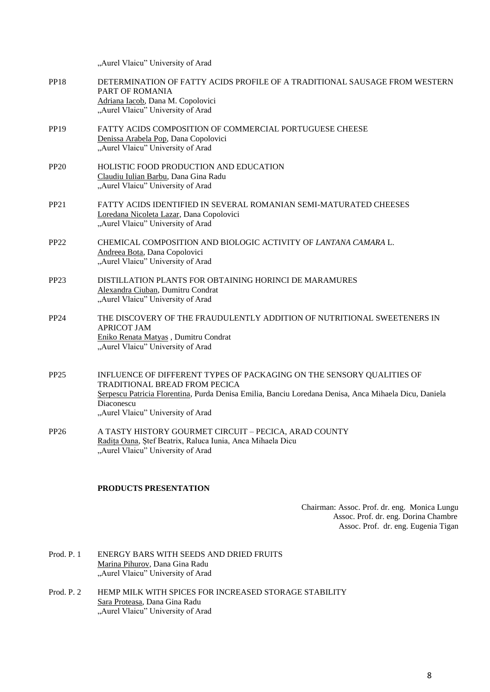"Aurel Vlaicu" University of Arad

| <b>PP18</b>      | DETERMINATION OF FATTY ACIDS PROFILE OF A TRADITIONAL SAUSAGE FROM WESTERN<br>PART OF ROMANIA<br>Adriana Iacob, Dana M. Copolovici<br>"Aurel Vlaicu" University of Arad                                                                                            |
|------------------|--------------------------------------------------------------------------------------------------------------------------------------------------------------------------------------------------------------------------------------------------------------------|
| <b>PP19</b>      | FATTY ACIDS COMPOSITION OF COMMERCIAL PORTUGUESE CHEESE<br>Denissa Arabela Pop, Dana Copolovici<br>"Aurel Vlaicu" University of Arad                                                                                                                               |
| <b>PP20</b>      | HOLISTIC FOOD PRODUCTION AND EDUCATION<br>Claudiu Iulian Barbu, Dana Gina Radu<br>"Aurel Vlaicu" University of Arad                                                                                                                                                |
| PP21             | FATTY ACIDS IDENTIFIED IN SEVERAL ROMANIAN SEMI-MATURATED CHEESES<br>Loredana Nicoleta Lazar, Dana Copolovici<br>"Aurel Vlaicu" University of Arad                                                                                                                 |
| <b>PP22</b>      | CHEMICAL COMPOSITION AND BIOLOGIC ACTIVITY OF LANTANA CAMARA L.<br>Andreea Bota, Dana Copolovici<br>"Aurel Vlaicu" University of Arad                                                                                                                              |
| <b>PP23</b>      | DISTILLATION PLANTS FOR OBTAINING HORINCI DE MARAMURES<br>Alexandra Ciuban, Dumitru Condrat<br>"Aurel Vlaicu" University of Arad                                                                                                                                   |
| <b>PP24</b>      | THE DISCOVERY OF THE FRAUDULENTLY ADDITION OF NUTRITIONAL SWEETENERS IN<br><b>APRICOT JAM</b><br>Eniko Renata Matyas, Dumitru Condrat<br>"Aurel Vlaicu" University of Arad                                                                                         |
| <b>PP25</b>      | INFLUENCE OF DIFFERENT TYPES OF PACKAGING ON THE SENSORY QUALITIES OF<br>TRADITIONAL BREAD FROM PECICA<br>Serpescu Patricia Florentina, Purda Denisa Emilia, Banciu Loredana Denisa, Anca Mihaela Dicu, Daniela<br>Diaconescu<br>"Aurel Vlaicu" University of Arad |
| PP <sub>26</sub> | A TASTY HISTORY GOURMET CIRCUIT - PECICA, ARAD COUNTY<br>Radita Oana, Stef Beatrix, Raluca Iunia, Anca Mihaela Dicu                                                                                                                                                |

## **PRODUCTS PRESENTATION**

"Aurel Vlaicu" University of Arad

Chairman: Assoc. Prof. dr. eng. Monica Lungu Assoc. Prof. dr. eng. Dorina Chambre Assoc. Prof. dr. eng. Eugenia Tigan

- Prod. P. 1 ENERGY BARS WITH SEEDS AND DRIED FRUITS Marina Pihurov, Dana Gina Radu "Aurel Vlaicu" University of Arad
- Prod. P. 2 HEMP MILK WITH SPICES FOR INCREASED STORAGE STABILITY Sara Proteasa, Dana Gina Radu "Aurel Vlaicu" University of Arad